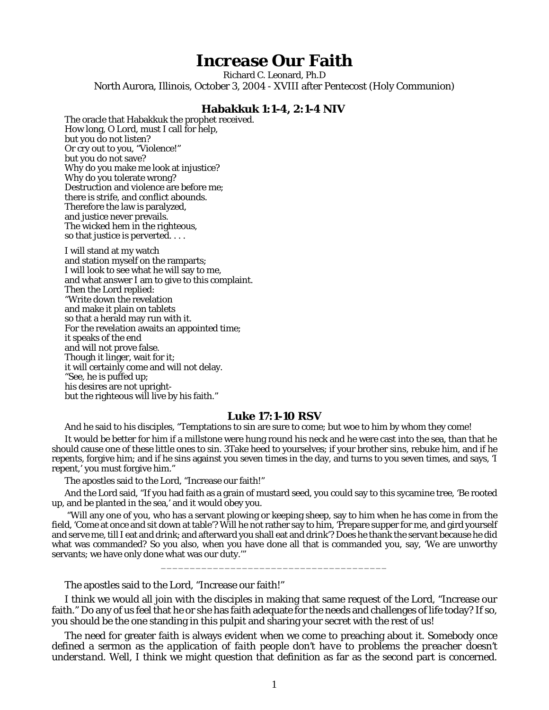## **Increase Our Faith**

Richard C. Leonard, Ph.D North Aurora, Illinois, October 3, 2004 - XVIII after Pentecost (Holy Communion)

## **Habakkuk 1:1-4, 2:1-4 NIV**

The oracle that Habakkuk the prophet received. How long, O Lord, must I call for help, but you do not listen? Or cry out to you, "Violence!" but you do not save? Why do you make me look at injustice? Why do you tolerate wrong? Destruction and violence are before me; there is strife, and conflict abounds. Therefore the law is paralyzed, and justice never prevails. The wicked hem in the righteous, so that justice is perverted. . . .

I will stand at my watch and station myself on the ramparts; I will look to see what he will say to me, and what answer I am to give to this complaint. Then the Lord replied: "Write down the revelation and make it plain on tablets so that a herald may run with it. For the revelation awaits an appointed time; it speaks of the end and will not prove false. Though it linger, wait for it; it will certainly come and will not delay. "See, he is puffed up; his desires are not uprightbut the righteous will live by his faith."

## **Luke 17:1-10 RSV**

And he said to his disciples, "Temptations to sin are sure to come; but woe to him by whom they come!

It would be better for him if a millstone were hung round his neck and he were cast into the sea, than that he should cause one of these little ones to sin. 3Take heed to yourselves; if your brother sins, rebuke him, and if he repents, forgive him; and if he sins against you seven times in the day, and turns to you seven times, and says, 'I repent,' you must forgive him."

The apostles said to the Lord, "Increase our faith!"

And the Lord said, "If you had faith as a grain of mustard seed, you could say to this sycamine tree, 'Be rooted up, and be planted in the sea,' and it would obey you.

 "Will any one of you, who has a servant plowing or keeping sheep, say to him when he has come in from the field, 'Come at once and sit down at table'? Will he not rather say to him, 'Prepare supper for me, and gird yourself and serve me, till I eat and drink; and afterward you shall eat and drink'? Does he thank the servant because he did what was commanded? So you also, when you have done all that is commanded you, say, 'We are unworthy servants; we have only done what was our duty.'"

\_\_\_\_\_\_\_\_\_\_\_\_\_\_\_\_\_\_\_\_\_\_\_\_\_\_\_\_\_\_\_\_\_\_\_\_\_\_\_

The apostles said to the Lord, "Increase our faith!"

I think we would all join with the disciples in making that same request of the Lord, "Increase our faith." Do any of us feel that he or she has faith adequate for the needs and challenges of life today? If so, you should be the one standing in this pulpit and sharing your secret with the rest of us!

The need for greater faith is always evident when we come to preaching about it. Somebody once defined a sermon as *the application of faith people don't have to problems the preacher doesn't understand.* Well, I think we might question that definition as far as the second part is concerned.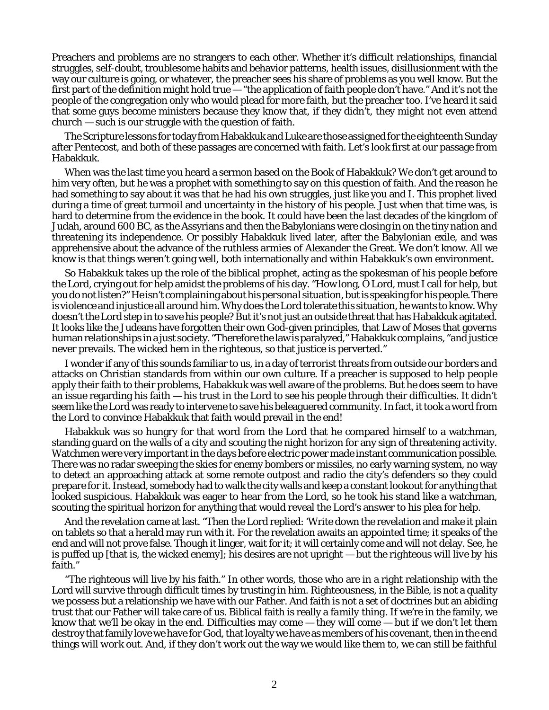Preachers and problems are no strangers to each other. Whether it's difficult relationships, financial struggles, self-doubt, troublesome habits and behavior patterns, health issues, disillusionment with the way our culture is going, or whatever, the preacher sees his share of problems as you well know. But the first part of the definition might hold true — "the application of faith people don't have." And it's not the people of the congregation only who would plead for more faith, but the preacher too. I've heard it said that some guys become ministers because they know that, if they didn't, they might not even attend church — such is our struggle with the question of faith.

The Scripture lessons for today from Habakkuk and Luke are those assigned for the eighteenth Sunday after Pentecost, and both of these passages are concerned with faith. Let's look first at our passage from Habakkuk.

When was the last time you heard a sermon based on the Book of Habakkuk? We don't get around to him very often, but he was a prophet with something to say on this question of faith. And the reason he had something to say about it was that he had his own struggles, just like you and I. This prophet lived during a time of great turmoil and uncertainty in the history of his people. Just when that time was, is hard to determine from the evidence in the book. It could have been the last decades of the kingdom of Judah, around 600 BC, as the Assyrians and then the Babylonians were closing in on the tiny nation and threatening its independence. Or possibly Habakkuk lived later, after the Babylonian exile, and was apprehensive about the advance of the ruthless armies of Alexander the Great. We don't know. All we know is that things weren't going well, both internationally and within Habakkuk's own environment.

So Habakkuk takes up the role of the biblical prophet, acting as the spokesman of his people before the Lord, crying out for help amidst the problems of his day. "How long, O Lord, must I call for help, but you do not listen?" He isn't complaining about his *personal* situation, but is speaking for his people. There is violence and injustice all around him. Why does the Lord tolerate this situation, he wants to know. Why doesn't the Lord step in to save his people? But it's not just an outside threat that has Habakkuk agitated. It looks like the Judeans have forgotten their own God-given principles, that Law of Moses that governs human relationships in a just society. "Therefore the law is paralyzed," Habakkuk complains, "and justice never prevails. The wicked hem in the righteous, so that justice is perverted."

I wonder if any of this sounds familiar to us, in a day of terrorist threats from outside our borders and attacks on Christian standards from within our own culture. If a preacher is supposed to help people apply their faith to their problems, Habakkuk was well aware of the problems. But he does seem to have an issue regarding his faith — his trust in the Lord to see his people through their difficulties. It didn't seem like the Lord was ready to intervene to save his beleaguered community. In fact, it took a word from the Lord to convince Habakkuk that faith would prevail in the end!

Habakkuk was so hungry for that word from the Lord that he compared himself to a watchman, standing guard on the walls of a city and scouting the night horizon for any sign of threatening activity. Watchmen were very important in the days before electric power made instant communication possible. There was no radar sweeping the skies for enemy bombers or missiles, no early warning system, no way to detect an approaching attack at some remote outpost and radio the city's defenders so they could prepare for it. Instead, somebody had to walk the city walls and keep a constant lookout for anything that looked suspicious. Habakkuk was eager to hear from the Lord, so he took his stand like a watchman, scouting the spiritual horizon for anything that would reveal the Lord's answer to his plea for help.

And the revelation came at last. "Then the Lord replied: 'Write down the revelation and make it plain on tablets so that a herald may run with it. For the revelation awaits an appointed time; it speaks of the end and will not prove false. Though it linger, wait for it; it will certainly come and will not delay. See, he is puffed up [that is, the wicked enemy]; his desires are not upright — but *the righteous will live by his faith.*"

"The righteous will live by his faith." In other words, those who are in a right relationship with the Lord will survive through difficult times by trusting in him. Righteousness, in the Bible, is not a quality we possess but a relationship we have with our Father. And faith is not a set of doctrines but an abiding trust that our Father will take care of us. Biblical faith is really a *family thing.* If we're in the family, we know that we'll be okay in the end. Difficulties may come — they *will* come — but if we don't let them destroy that family love we have for God, that loyalty we have as members of his covenant, then in the end things *will work out*. And, if they don't work out the way we would like them to, we can still be faithful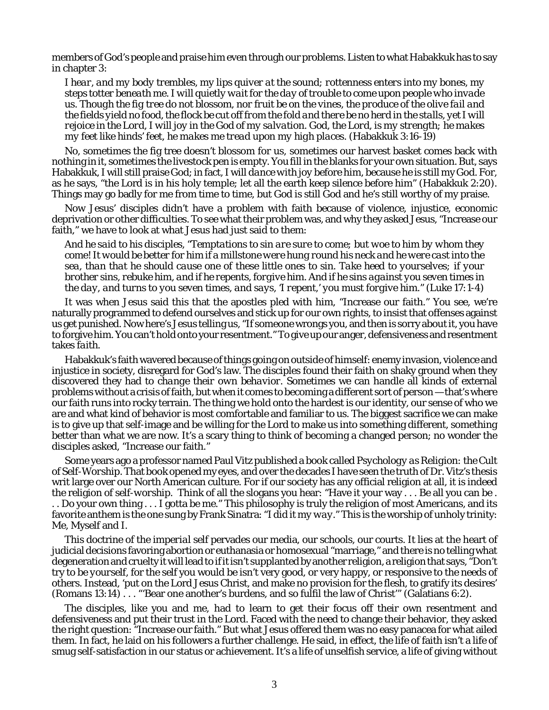members of God's people and praise him even through our problems. Listen to what Habakkuk has to say in chapter 3:

*I hear, and my body trembles, my lips quiver at the sound; rottenness enters into my bones, my steps totter beneath me. I will quietly wait for the day of trouble to come upon people who invade us. Though the fig tree do not blossom, nor fruit be on the vines, the produce of the olive fail and the fields yield no food, the flock be cut off from the fold and there be no herd in the stalls, yet I will rejoice in the Lord, I will joy in the God of my salvation. God, the Lord, is my strength; he makes my feet like hinds' feet, he makes me tread upon my high places.* (Habakkuk 3:16-19)

No, sometimes the fig tree doesn't blossom for us, sometimes our harvest basket comes back with nothing in it, sometimes the livestock pen is empty. You fill in the blanks for your own situation. But, says Habakkuk, I will still praise God; in fact, I will *dance with joy* before him, because he is still my God. For, as he says, "the Lord is in his holy temple; let all the earth keep silence before him" (Habakkuk 2:20). Things may go badly for me from time to time, but God is still God and he's still worthy of my praise.

Now Jesus' disciples didn't have a problem with faith because of violence, injustice, economic deprivation or other difficulties. To see what their problem was, and why they asked Jesus, "Increase our faith," we have to look at what Jesus had just said to them:

*And he said to his disciples, "Temptations to sin are sure to come; but woe to him by whom they come! It would be better for him if a millstone were hung round his neck and he were cast into the sea, than that he should cause one of these little ones to sin. Take heed to yourselves; if your brother sins, rebuke him, and if he repents, forgive him. And if he sins against you seven times in the day, and turns to you seven times, and says, 'I repent,' you must forgive him." (Luke 17:1-4)*

It was when Jesus said this that the apostles pled with him, "Increase our faith." You see, we're naturally programmed to defend ourselves and stick up for our own rights, to insist that offenses against us get punished. Now here's Jesus telling us, "If someone wrongs you, and then is sorry about it, you have to forgive him. You can't hold onto your resentment." To give up our anger, defensiveness and resentment takes *faith.*

Habakkuk's faith wavered because of things going on outside of himself: enemy invasion, violence and injustice in society, disregard for God's law. The disciples found their faith on shaky ground when they discovered they had to *change their own behavior*. Sometimes we can handle all kinds of external problems without a crisis of faith, but when it comes to becoming a different sort of person — that's where our faith runs into rocky terrain. The thing we hold onto the hardest is our identity, our sense of who we are and what kind of behavior is most comfortable and familiar to us. The biggest sacrifice we can make is to give up that self-image and be willing for the Lord to make us into something different, something better than what we are now. It's a scary thing to think of becoming a changed person; no wonder the disciples asked, "Increase our faith."

Some years ago a professor named Paul Vitz published a book called *Psychology as Religion: the Cult of Self-Worship.* That book opened my eyes, and over the decades I have seen the truth of Dr. Vitz's thesis writ large over our North American culture. For if our society has any official religion at all, it is indeed the religion of *self-worship.* Think of all the slogans you hear: "Have it your way . . . Be all you can be . . . Do your own thing . . . I gotta be *me*." This philosophy is truly the religion of most Americans, and its favorite anthem is the one sung by Frank Sinatra: "I did it *my way*." This is the worship of unholy trinity: Me, Myself and I.

This doctrine of the *imperial self* pervades our media, our schools, our courts. It lies at the heart of judicial decisions favoring abortion or euthanasia or homosexual "marriage," and there is no telling what degeneration and cruelty it will lead to if it isn't supplanted by another religion, a religion that says, "Don't try to *be yourself*, for the self you would be isn't very good, or very happy, or responsive to the needs of others. Instead, 'put on the Lord Jesus Christ, and make no provision for the flesh, to gratify its desires' (Romans 13:14) . . . "'Bear one another's burdens, and so fulfil the law of Christ'" (Galatians 6:2).

The disciples, like you and me, had to learn to get their focus off their own resentment and defensiveness and put their trust in the Lord. Faced with the need to change their behavior, they asked the right question: "Increase our faith." But what Jesus offered them was no easy panacea for what ailed them. In fact, he laid on his followers a further challenge. He said, in effect, the life of faith isn't a life of smug self-satisfaction in our status or achievement. It's a life of unselfish service, a life of giving without